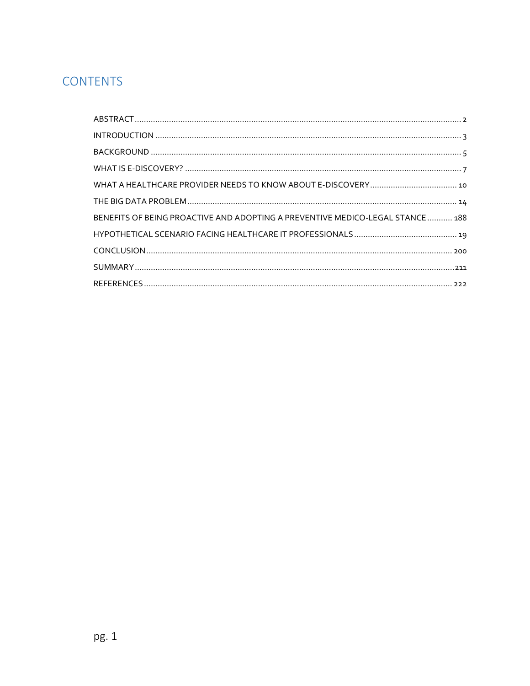# **CONTENTS**

| BENEFITS OF BEING PROACTIVE AND ADOPTING A PREVENTIVE MEDICO-LEGAL STANCE  188 |
|--------------------------------------------------------------------------------|
|                                                                                |
|                                                                                |
|                                                                                |
|                                                                                |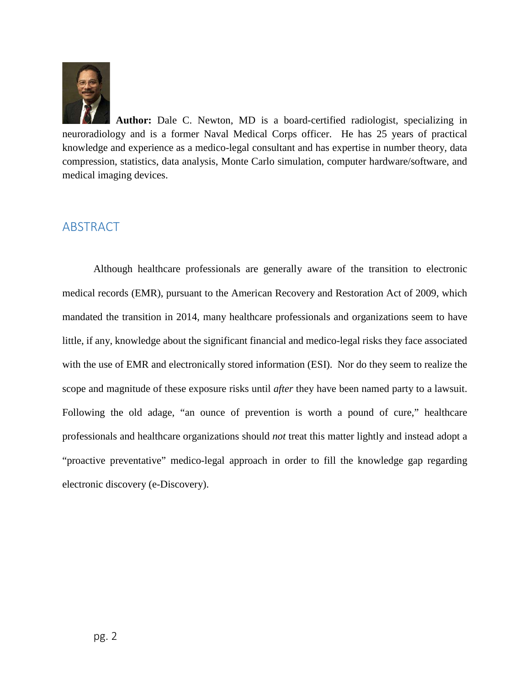

**Author:** Dale C. Newton, MD is a board-certified radiologist, specializing in neuroradiology and is a former Naval Medical Corps officer. He has 25 years of practical knowledge and experience as a medico-legal consultant and has expertise in number theory, data compression, statistics, data analysis, Monte Carlo simulation, computer hardware/software, and medical imaging devices.

# <span id="page-1-0"></span>ABSTRACT

Although healthcare professionals are generally aware of the transition to electronic medical records (EMR), pursuant to the American Recovery and Restoration Act of 2009, which mandated the transition in 2014, many healthcare professionals and organizations seem to have little, if any, knowledge about the significant financial and medico-legal risks they face associated with the use of EMR and electronically stored information (ESI). Nor do they seem to realize the scope and magnitude of these exposure risks until *after* they have been named party to a lawsuit. Following the old adage, "an ounce of prevention is worth a pound of cure," healthcare professionals and healthcare organizations should *not* treat this matter lightly and instead adopt a "proactive preventative" medico-legal approach in order to fill the knowledge gap regarding electronic discovery (e-Discovery).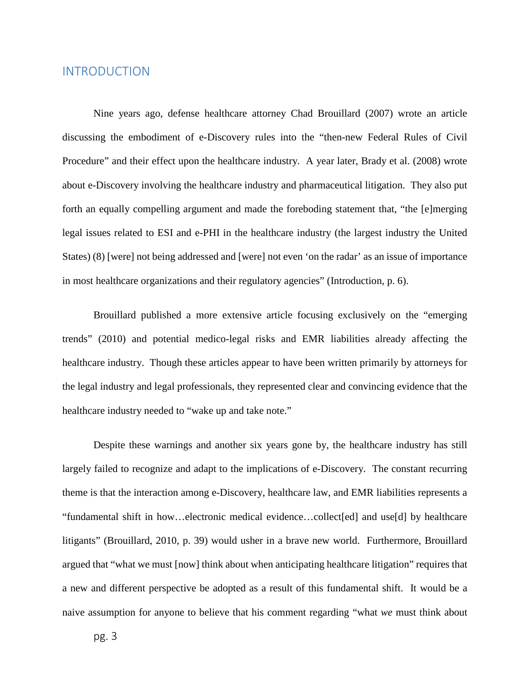## <span id="page-2-0"></span>INTRODUCTION

Nine years ago, defense healthcare attorney Chad Brouillard (2007) wrote an article discussing the embodiment of e-Discovery rules into the "then-new Federal Rules of Civil Procedure" and their effect upon the healthcare industry. A year later, Brady et al. (2008) wrote about e-Discovery involving the healthcare industry and pharmaceutical litigation. They also put forth an equally compelling argument and made the foreboding statement that, "the [e]merging legal issues related to ESI and e-PHI in the healthcare industry (the largest industry the United States) (8) [were] not being addressed and [were] not even 'on the radar' as an issue of importance in most healthcare organizations and their regulatory agencies" (Introduction, p. 6).

Brouillard published a more extensive article focusing exclusively on the "emerging trends" (2010) and potential medico-legal risks and EMR liabilities already affecting the healthcare industry. Though these articles appear to have been written primarily by attorneys for the legal industry and legal professionals, they represented clear and convincing evidence that the healthcare industry needed to "wake up and take note."

Despite these warnings and another six years gone by, the healthcare industry has still largely failed to recognize and adapt to the implications of e-Discovery. The constant recurring theme is that the interaction among e-Discovery, healthcare law, and EMR liabilities represents a "fundamental shift in how…electronic medical evidence…collect[ed] and use[d] by healthcare litigants" (Brouillard, 2010, p. 39) would usher in a brave new world. Furthermore, Brouillard argued that "what we must [now] think about when anticipating healthcare litigation" requires that a new and different perspective be adopted as a result of this fundamental shift. It would be a naive assumption for anyone to believe that his comment regarding "what *we* must think about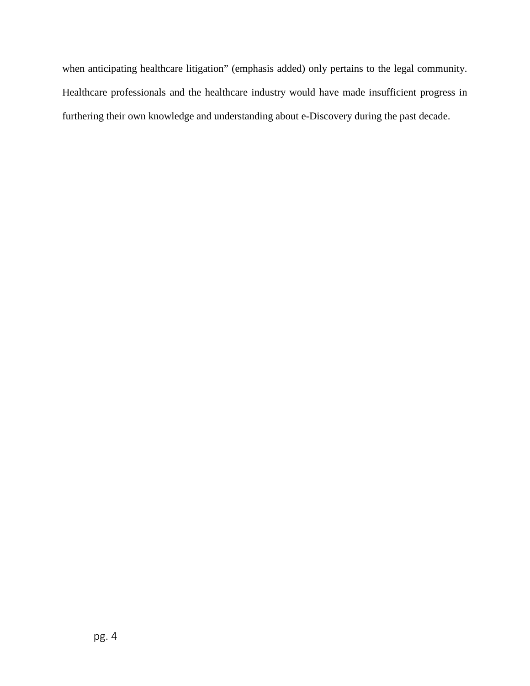when anticipating healthcare litigation" (emphasis added) only pertains to the legal community. Healthcare professionals and the healthcare industry would have made insufficient progress in furthering their own knowledge and understanding about e-Discovery during the past decade.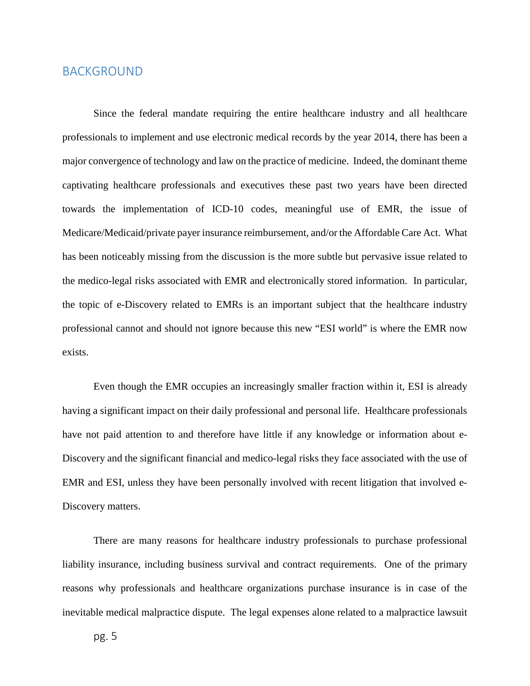### <span id="page-4-0"></span>BACKGROUND

Since the federal mandate requiring the entire healthcare industry and all healthcare professionals to implement and use electronic medical records by the year 2014, there has been a major convergence of technology and law on the practice of medicine. Indeed, the dominant theme captivating healthcare professionals and executives these past two years have been directed towards the implementation of ICD-10 codes, meaningful use of EMR, the issue of Medicare/Medicaid/private payer insurance reimbursement, and/or the Affordable Care Act. What has been noticeably missing from the discussion is the more subtle but pervasive issue related to the medico-legal risks associated with EMR and electronically stored information. In particular, the topic of e-Discovery related to EMRs is an important subject that the healthcare industry professional cannot and should not ignore because this new "ESI world" is where the EMR now exists.

Even though the EMR occupies an increasingly smaller fraction within it, ESI is already having a significant impact on their daily professional and personal life. Healthcare professionals have not paid attention to and therefore have little if any knowledge or information about e-Discovery and the significant financial and medico-legal risks they face associated with the use of EMR and ESI, unless they have been personally involved with recent litigation that involved e-Discovery matters.

There are many reasons for healthcare industry professionals to purchase professional liability insurance, including business survival and contract requirements. One of the primary reasons why professionals and healthcare organizations purchase insurance is in case of the inevitable medical malpractice dispute. The legal expenses alone related to a malpractice lawsuit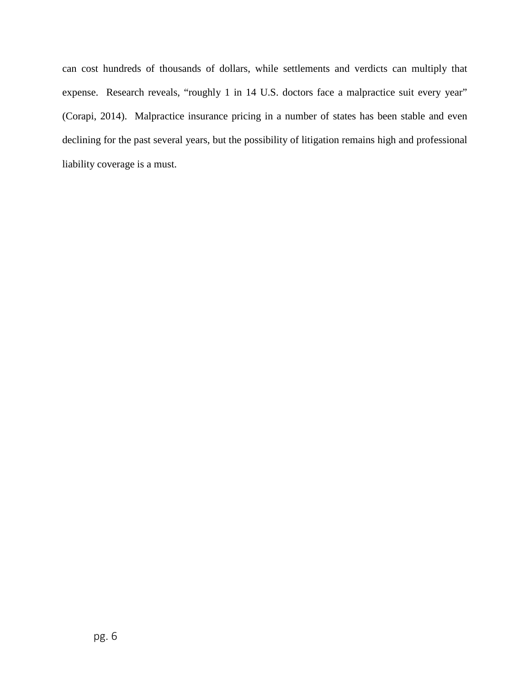can cost hundreds of thousands of dollars, while settlements and verdicts can multiply that expense. Research reveals, "roughly 1 in 14 U.S. doctors face a malpractice suit every year" (Corapi, 2014). Malpractice insurance pricing in a number of states has been stable and even declining for the past several years, but the possibility of litigation remains high and professional liability coverage is a must.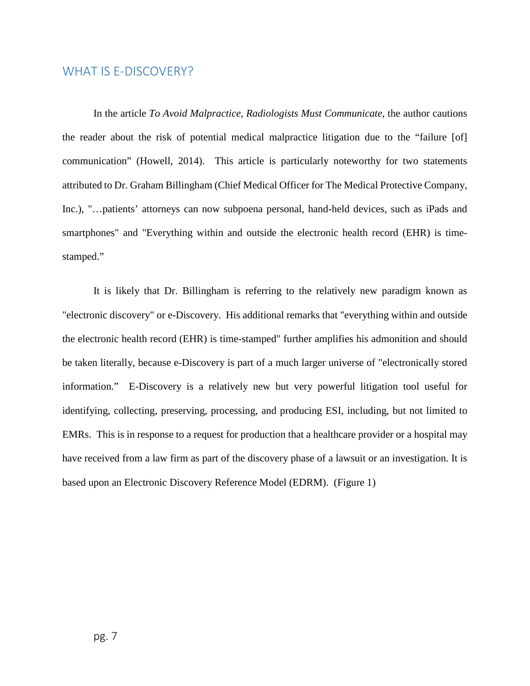## <span id="page-6-0"></span>WHAT IS E-DISCOVERY?

In the article *To Avoid Malpractice, Radiologists Must Communicate*, the author cautions the reader about the risk of potential medical malpractice litigation due to the "failure [of] communication" (Howell, 2014). This article is particularly noteworthy for two statements attributed to Dr. Graham Billingham (Chief Medical Officer for The Medical Protective Company, Inc.), "…patients' attorneys can now subpoena personal, hand-held devices, such as iPads and smartphones" and "Everything within and outside the electronic health record (EHR) is timestamped."

It is likely that Dr. Billingham is referring to the relatively new paradigm known as "electronic discovery" or e-Discovery. His additional remarks that "everything within and outside the electronic health record (EHR) is time-stamped" further amplifies his admonition and should be taken literally, because e-Discovery is part of a much larger universe of "electronically stored information." E-Discovery is a relatively new but very powerful litigation tool useful for identifying, collecting, preserving, processing, and producing ESI, including, but not limited to EMRs. This is in response to a request for production that a healthcare provider or a hospital may have received from a law firm as part of the discovery phase of a lawsuit or an investigation. It is based upon an Electronic Discovery Reference Model (EDRM). (Figure 1)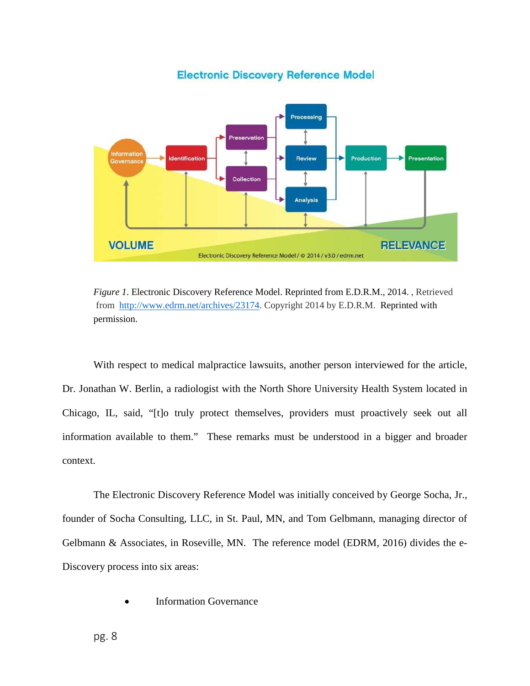**Processing** Preservation Informatio Production Presentation **Identification** Review Collection **Analysis VOLUME RELEVANCE** Electronic Discovery Reference Model / @ 2014 / v3.0 / edrm.net

**Electronic Discovery Reference Model** 

*Figure 1*. Electronic Discovery Reference Model. Reprinted from E.D.R.M., 2014. , Retrieved from [http://www.edrm.net/archives/23174.](http://www.edrm.net/archives/23174) Copyright 2014 by E.D.R.M. Reprinted with permission.

With respect to medical malpractice lawsuits, another person interviewed for the article, Dr. Jonathan W. Berlin, a radiologist with the North Shore University Health System located in Chicago, IL, said, "[t]o truly protect themselves, providers must proactively seek out all information available to them." These remarks must be understood in a bigger and broader context.

The Electronic Discovery Reference Model was initially conceived by George Socha, Jr., founder of Socha Consulting, LLC, in St. Paul, MN, and Tom Gelbmann, managing director of Gelbmann & Associates, in Roseville, MN. The reference model (EDRM, 2016) divides the e-Discovery process into six areas:

**Information Governance**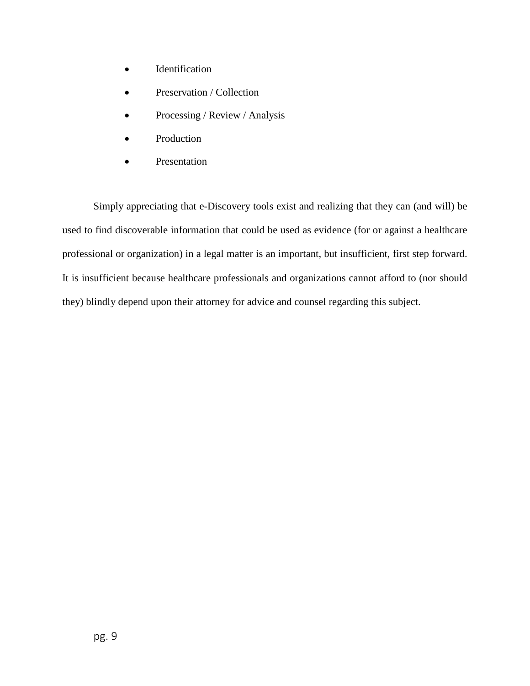- Identification
- Preservation / Collection
- Processing / Review / Analysis
- **Production**
- **Presentation**

Simply appreciating that e-Discovery tools exist and realizing that they can (and will) be used to find discoverable information that could be used as evidence (for or against a healthcare professional or organization) in a legal matter is an important, but insufficient, first step forward. It is insufficient because healthcare professionals and organizations cannot afford to (nor should they) blindly depend upon their attorney for advice and counsel regarding this subject.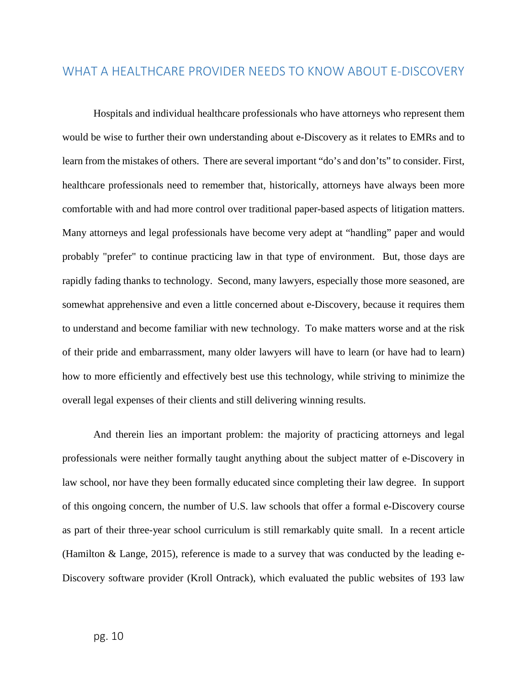# <span id="page-9-0"></span>WHAT A HEALTHCARE PROVIDER NEEDS TO KNOW ABOUT E-DISCOVERY

Hospitals and individual healthcare professionals who have attorneys who represent them would be wise to further their own understanding about e-Discovery as it relates to EMRs and to learn from the mistakes of others. There are several important "do's and don'ts" to consider. First, healthcare professionals need to remember that, historically, attorneys have always been more comfortable with and had more control over traditional paper-based aspects of litigation matters. Many attorneys and legal professionals have become very adept at "handling" paper and would probably "prefer" to continue practicing law in that type of environment. But, those days are rapidly fading thanks to technology. Second, many lawyers, especially those more seasoned, are somewhat apprehensive and even a little concerned about e-Discovery, because it requires them to understand and become familiar with new technology. To make matters worse and at the risk of their pride and embarrassment, many older lawyers will have to learn (or have had to learn) how to more efficiently and effectively best use this technology, while striving to minimize the overall legal expenses of their clients and still delivering winning results.

And therein lies an important problem: the majority of practicing attorneys and legal professionals were neither formally taught anything about the subject matter of e-Discovery in law school, nor have they been formally educated since completing their law degree. In support of this ongoing concern, the number of U.S. law schools that offer a formal e-Discovery course as part of their three-year school curriculum is still remarkably quite small. In a recent article (Hamilton & Lange, 2015), reference is made to a survey that was conducted by the leading e-Discovery software provider (Kroll Ontrack), which evaluated the public websites of 193 law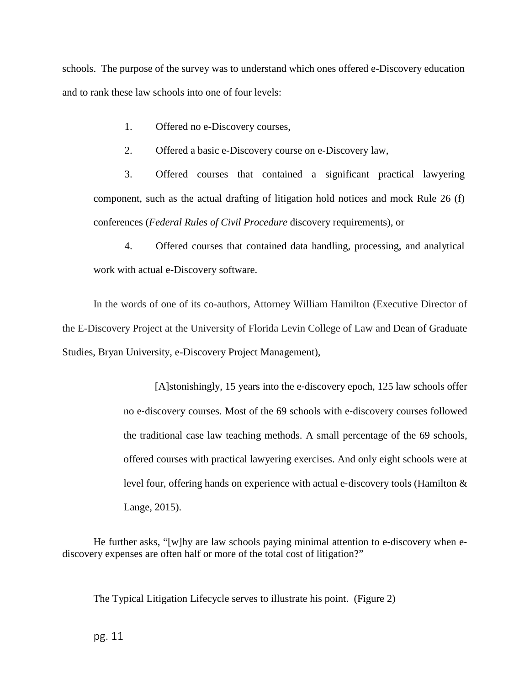schools. The purpose of the survey was to understand which ones offered e-Discovery education and to rank these law schools into one of four levels:

1. Offered no e-Discovery courses,

2. Offered a basic e-Discovery course on e-Discovery law,

3. Offered courses that contained a significant practical lawyering component, such as the actual drafting of litigation hold notices and mock Rule 26 (f) conferences (*Federal Rules of Civil Procedure* discovery requirements), or

4. Offered courses that contained data handling, processing, and analytical work with actual e-Discovery software.

In the words of one of its co-authors, Attorney William Hamilton (Executive Director of the E-Discovery Project at the University of Florida Levin College of Law and Dean of Graduate Studies, Bryan University, e-Discovery Project Management),

> [A]stonishingly, 15 years into the e‐discovery epoch, 125 law schools offer no e‐discovery courses. Most of the 69 schools with e‐discovery courses followed the traditional case law teaching methods. A small percentage of the 69 schools, offered courses with practical lawyering exercises. And only eight schools were at level four, offering hands on experience with actual e‐discovery tools (Hamilton & Lange, 2015).

He further asks, "[w]hy are law schools paying minimal attention to e-discovery when ediscovery expenses are often half or more of the total cost of litigation?"

The Typical Litigation Lifecycle serves to illustrate his point. (Figure 2)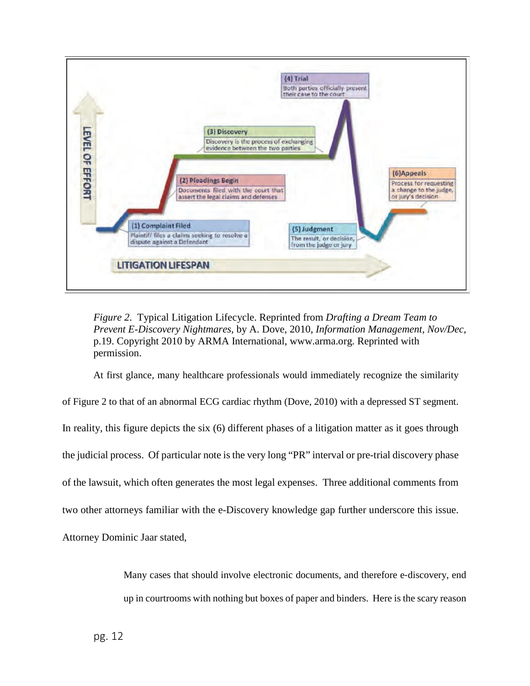

*Figure 2*. Typical Litigation Lifecycle. Reprinted from *Drafting a Dream Team to Prevent E-Discovery Nightmares,* by A. Dove, 2010, *Information Management, Nov/Dec,* p.19. Copyright 2010 by ARMA International, www.arma.org. Reprinted with permission.

At first glance, many healthcare professionals would immediately recognize the similarity

of Figure 2 to that of an abnormal ECG cardiac rhythm (Dove, 2010) with a depressed ST segment. In reality, this figure depicts the six (6) different phases of a litigation matter as it goes through the judicial process. Of particular note is the very long "PR" interval or pre-trial discovery phase of the lawsuit, which often generates the most legal expenses. Three additional comments from two other attorneys familiar with the e-Discovery knowledge gap further underscore this issue. Attorney Dominic Jaar stated,

> Many cases that should involve electronic documents, and therefore e-discovery, end up in courtrooms with nothing but boxes of paper and binders. Here is the scary reason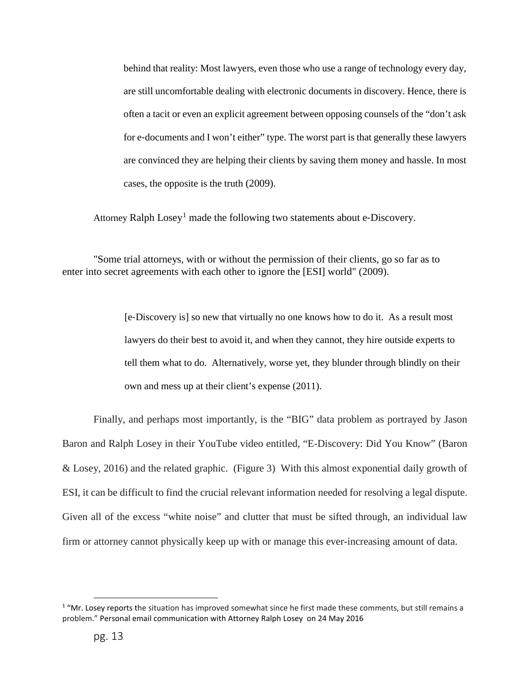behind that reality: Most lawyers, even those who use a range of technology every day, are still uncomfortable dealing with electronic documents in discovery. Hence, there is often a tacit or even an explicit agreement between opposing counsels of the "don't ask for e-documents and I won't either" type. The worst part is that generally these lawyers are convinced they are helping their clients by saving them money and hassle. In most cases, the opposite is the truth (2009).

Attorney Ralph Losey<sup>[1](#page-12-0)</sup> made the following two statements about e-Discovery.

"Some trial attorneys, with or without the permission of their clients, go so far as to enter into secret agreements with each other to ignore the [ESI] world" (2009).

> [e‐Discovery is] so new that virtually no one knows how to do it. As a result most lawyers do their best to avoid it, and when they cannot, they hire outside experts to tell them what to do. Alternatively, worse yet, they blunder through blindly on their own and mess up at their client's expense (2011).

Finally, and perhaps most importantly, is the "BIG" data problem as portrayed by Jason Baron and Ralph Losey in their YouTube video entitled, "E-Discovery: Did You Know" (Baron & Losey, 2016) and the related graphic. (Figure 3) With this almost exponential daily growth of ESI, it can be difficult to find the crucial relevant information needed for resolving a legal dispute. Given all of the excess "white noise" and clutter that must be sifted through, an individual law firm or attorney cannot physically keep up with or manage this ever-increasing amount of data.

 $\overline{a}$ 

<span id="page-12-0"></span> $1$  "Mr. Losey reports the situation has improved somewhat since he first made these comments, but still remains a problem." Personal email communication with Attorney Ralph Losey on 24 May 2016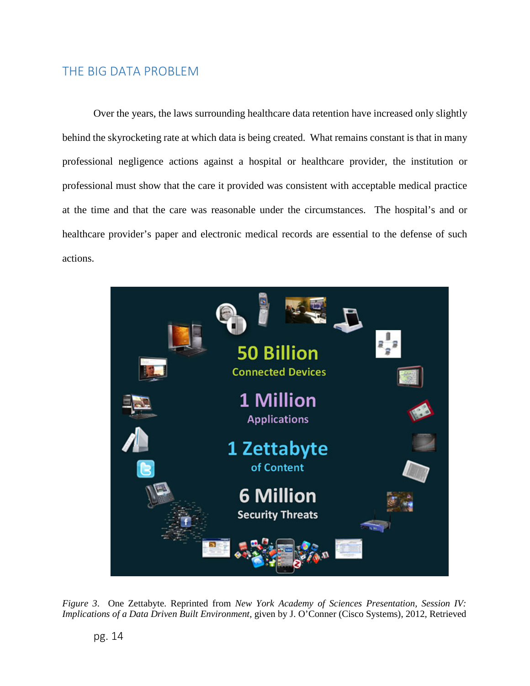# <span id="page-13-0"></span>THE BIG DATA PROBLEM

Over the years, the laws surrounding healthcare data retention have increased only slightly behind the skyrocketing rate at which data is being created. What remains constant is that in many professional negligence actions against a hospital or healthcare provider, the institution or professional must show that the care it provided was consistent with acceptable medical practice at the time and that the care was reasonable under the circumstances. The hospital's and or healthcare provider's paper and electronic medical records are essential to the defense of such actions.



*Figure 3*. One Zettabyte. Reprinted from *New York Academy of Sciences Presentation, Session IV: Implications of a Data Driven Built Environment,* given by J. O'Conner (Cisco Systems), 2012, Retrieved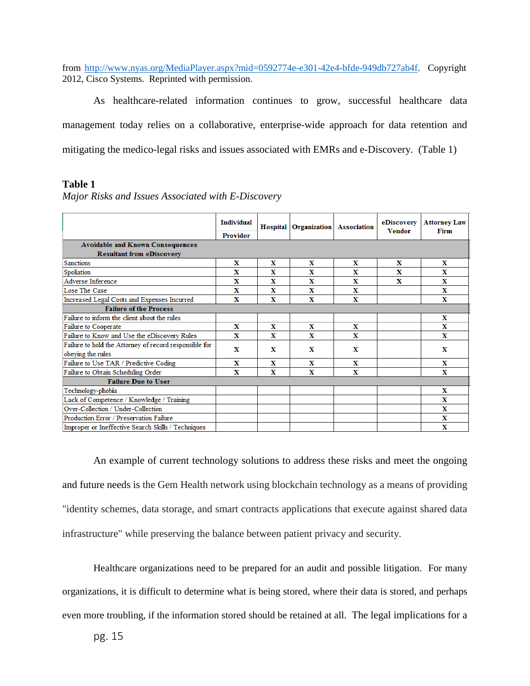from [http://www.nyas.org/MediaPlayer.aspx?mid=0592774e-e301-42e4-bfde-949db727ab4f.](http://www.nyas.org/MediaPlayer.aspx?mid=0592774e-e301-42e4-bfde-949db727ab4f) Copyright 2012, Cisco Systems. Reprinted with permission.

As healthcare-related information continues to grow, successful healthcare data management today relies on a collaborative, enterprise-wide approach for data retention and mitigating the medico-legal risks and issues associated with EMRs and e-Discovery. (Table 1)

#### **Table 1**

|                                                                             | <b>Individual</b><br>Provider |   | <b>Hospital</b> Organization | <b>Association</b> | eDiscovery<br><b>Vendor</b> | <b>Attorney Law</b><br>Firm |  |
|-----------------------------------------------------------------------------|-------------------------------|---|------------------------------|--------------------|-----------------------------|-----------------------------|--|
| <b>Avoidable and Known Consequences</b>                                     |                               |   |                              |                    |                             |                             |  |
| <b>Resultant from eDiscovery</b>                                            |                               |   |                              |                    |                             |                             |  |
| <b>Sanctions</b>                                                            | X                             | x | x                            | x                  | X                           | x                           |  |
| Spoliation                                                                  | x                             | x | X                            | x                  | x                           | X                           |  |
| Adverse Inference                                                           | X                             | x | $\mathbf x$                  | x                  | X                           | X                           |  |
| Lose The Case                                                               | x                             | x | x                            | x                  |                             | X                           |  |
| Increased Legal Costs and Expenses Incurred                                 | X                             | x | x                            | x                  |                             | x                           |  |
| <b>Failure of the Process</b>                                               |                               |   |                              |                    |                             |                             |  |
| Failure to inform the client about the rules                                |                               |   |                              |                    |                             | x                           |  |
| Failure to Cooperate                                                        | x                             | x | x                            | x                  |                             | x                           |  |
| Failure to Know and Use the eDiscovery Rules                                | X                             | X | $\mathbf x$                  | X                  |                             | X                           |  |
| Failure to hold the Attorney of record responsible for<br>obeying the rules | x                             | x | X                            | x                  |                             | x                           |  |
| Failure to Use TAR / Predictive Coding                                      | X                             | x | x                            | x                  |                             | X                           |  |
| Failure to Obtain Scheduling Order                                          | x                             | x | x                            | x                  |                             | x                           |  |
| <b>Failure Due to User</b>                                                  |                               |   |                              |                    |                             |                             |  |
| Technology-phobia                                                           |                               |   |                              |                    |                             | x                           |  |
| Lack of Competence / Knowledge / Training                                   |                               |   |                              |                    |                             | x                           |  |
| Over-Collection / Under-Collection                                          |                               |   |                              |                    |                             | X                           |  |
| Production Error / Preservation Failure                                     |                               |   |                              |                    |                             | x                           |  |
| Improper or Ineffective Search Skills / Techniques                          |                               |   |                              |                    |                             | x                           |  |

An example of current technology solutions to address these risks and meet the ongoing and future needs is the Gem Health network using blockchain technology as a means of providing "identity schemes, data storage, and smart contracts applications that execute against shared data infrastructure" while preserving the balance between patient privacy and security.

Healthcare organizations need to be prepared for an audit and possible litigation. For many organizations, it is difficult to determine what is being stored, where their data is stored, and perhaps even more troubling, if the information stored should be retained at all. The legal implications for a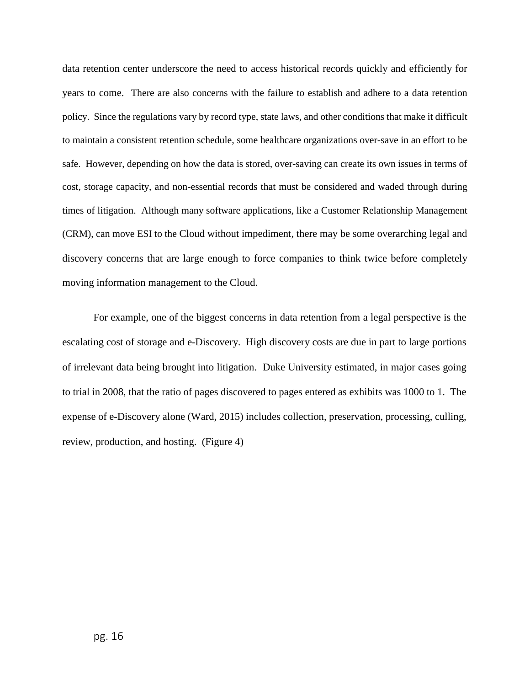data retention center underscore the need to access historical records quickly and efficiently for years to come. There are also concerns with the failure to establish and adhere to a data retention policy. Since the regulations vary by record type, state laws, and other conditions that make it difficult to maintain a consistent retention schedule, some healthcare organizations over-save in an effort to be safe. However, depending on how the data is stored, over-saving can create its own issues in terms of cost, storage capacity, and non-essential records that must be considered and waded through during times of litigation. Although many software applications, like a Customer Relationship Management (CRM), can move ESI to the Cloud without impediment, there may be some overarching legal and discovery concerns that are large enough to force companies to think twice before completely moving information management to the Cloud.

For example, one of the biggest concerns in data retention from a legal perspective is the escalating cost of storage and e-Discovery. High discovery costs are due in part to large portions of irrelevant data being brought into litigation. Duke University estimated, in major cases going to trial in 2008, that the ratio of pages discovered to pages entered as exhibits was 1000 to 1. The expense of e-Discovery alone (Ward, 2015) includes collection, preservation, processing, culling, review, production, and hosting. (Figure 4)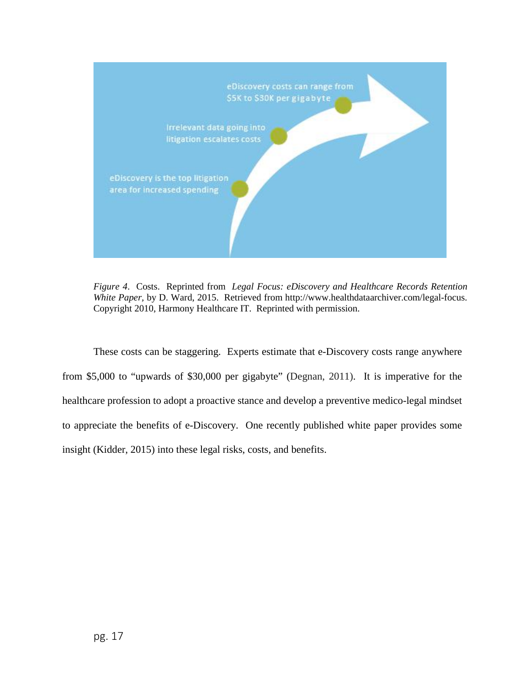

*Figure 4*. Costs. Reprinted from *Legal Focus: eDiscovery and Healthcare Records Retention White Paper,* by D. Ward, 2015. Retrieved from http://www.healthdataarchiver.com/legal-focus. Copyright 2010, Harmony Healthcare IT. Reprinted with permission.

These costs can be staggering. Experts estimate that e-Discovery costs range anywhere from \$5,000 to "upwards of \$30,000 per gigabyte" (Degnan, 2011). It is imperative for the healthcare profession to adopt a proactive stance and develop a preventive medico-legal mindset to appreciate the benefits of e-Discovery. One recently published white paper provides some insight (Kidder, 2015) into these legal risks, costs, and benefits.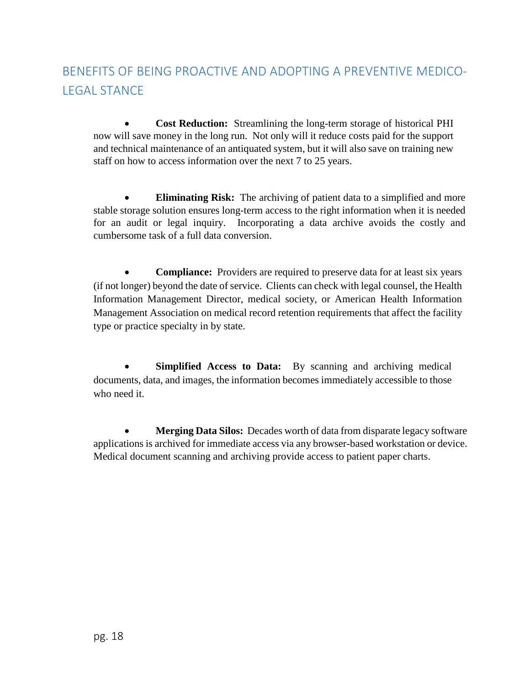# <span id="page-17-0"></span>BENEFITS OF BEING PROACTIVE AND ADOPTING A PREVENTIVE MEDICO-LEGAL STANCE

• **Cost Reduction:** Streamlining the long-term storage of historical PHI now will save money in the long run. Not only will it reduce costs paid for the support and technical maintenance of an antiquated system, but it will also save on training new staff on how to access information over the next 7 to 25 years.

**Eliminating Risk:** The archiving of patient data to a simplified and more stable storage solution ensures long-term access to the right information when it is needed for an audit or legal inquiry. Incorporating a data archive avoids the costly and cumbersome task of a full data conversion.

**Compliance:** Providers are required to preserve data for at least six years (if not longer) beyond the date of service. Clients can check with legal counsel, the Health Information Management Director, medical society, or American Health Information Management Association on medical record retention requirements that affect the facility type or practice specialty in by state.

**Simplified Access to Data:** By scanning and archiving medical documents, data, and images, the information becomes immediately accessible to those who need it.

• **Merging Data Silos:** Decades worth of data from disparate legacy software applications is archived for immediate access via any browser-based workstation or device. Medical document scanning and archiving provide access to patient paper charts.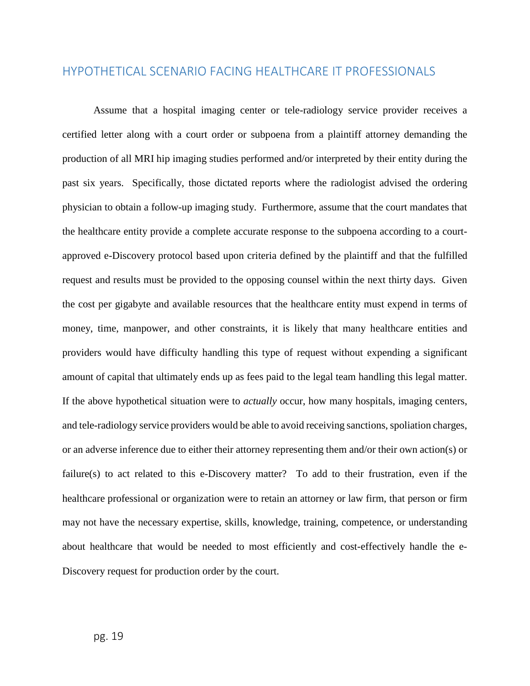## <span id="page-18-0"></span>HYPOTHETICAL SCENARIO FACING HEALTHCARE IT PROFESSIONALS

Assume that a hospital imaging center or tele-radiology service provider receives a certified letter along with a court order or subpoena from a plaintiff attorney demanding the production of all MRI hip imaging studies performed and/or interpreted by their entity during the past six years. Specifically, those dictated reports where the radiologist advised the ordering physician to obtain a follow-up imaging study. Furthermore, assume that the court mandates that the healthcare entity provide a complete accurate response to the subpoena according to a courtapproved e-Discovery protocol based upon criteria defined by the plaintiff and that the fulfilled request and results must be provided to the opposing counsel within the next thirty days. Given the cost per gigabyte and available resources that the healthcare entity must expend in terms of money, time, manpower, and other constraints, it is likely that many healthcare entities and providers would have difficulty handling this type of request without expending a significant amount of capital that ultimately ends up as fees paid to the legal team handling this legal matter. If the above hypothetical situation were to *actually* occur, how many hospitals, imaging centers, and tele-radiology service providers would be able to avoid receiving sanctions, spoliation charges, or an adverse inference due to either their attorney representing them and/or their own action(s) or failure(s) to act related to this e-Discovery matter? To add to their frustration, even if the healthcare professional or organization were to retain an attorney or law firm, that person or firm may not have the necessary expertise, skills, knowledge, training, competence, or understanding about healthcare that would be needed to most efficiently and cost-effectively handle the e-Discovery request for production order by the court.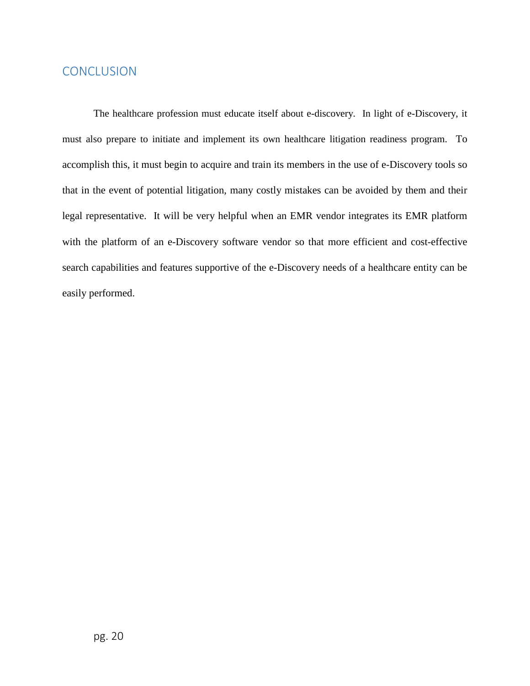## <span id="page-19-0"></span>**CONCLUSION**

The healthcare profession must educate itself about e-discovery. In light of e-Discovery, it must also prepare to initiate and implement its own healthcare litigation readiness program. To accomplish this, it must begin to acquire and train its members in the use of e-Discovery tools so that in the event of potential litigation, many costly mistakes can be avoided by them and their legal representative. It will be very helpful when an EMR vendor integrates its EMR platform with the platform of an e-Discovery software vendor so that more efficient and cost-effective search capabilities and features supportive of the e-Discovery needs of a healthcare entity can be easily performed.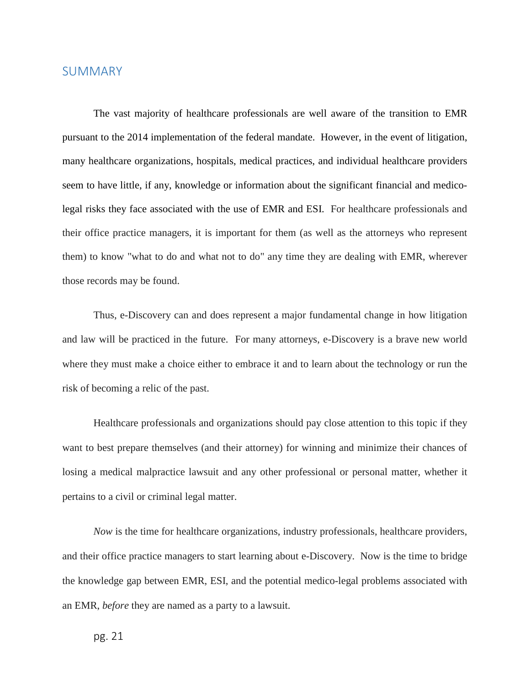### <span id="page-20-0"></span>SUMMARY

The vast majority of healthcare professionals are well aware of the transition to EMR pursuant to the 2014 implementation of the federal mandate. However, in the event of litigation, many healthcare organizations, hospitals, medical practices, and individual healthcare providers seem to have little, if any, knowledge or information about the significant financial and medicolegal risks they face associated with the use of EMR and ESI. For healthcare professionals and their office practice managers, it is important for them (as well as the attorneys who represent them) to know "what to do and what not to do" any time they are dealing with EMR, wherever those records may be found.

Thus, e-Discovery can and does represent a major fundamental change in how litigation and law will be practiced in the future. For many attorneys, e-Discovery is a brave new world where they must make a choice either to embrace it and to learn about the technology or run the risk of becoming a relic of the past.

Healthcare professionals and organizations should pay close attention to this topic if they want to best prepare themselves (and their attorney) for winning and minimize their chances of losing a medical malpractice lawsuit and any other professional or personal matter, whether it pertains to a civil or criminal legal matter.

*Now* is the time for healthcare organizations, industry professionals, healthcare providers, and their office practice managers to start learning about e-Discovery. Now is the time to bridge the knowledge gap between EMR, ESI, and the potential medico-legal problems associated with an EMR, *before* they are named as a party to a lawsuit.

pg. 21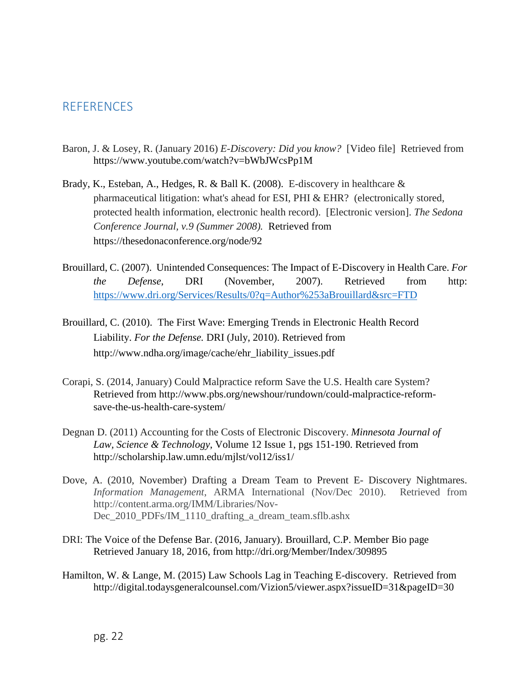## <span id="page-21-0"></span>**REFERENCES**

- Baron, J. & Losey, R. (January 2016) *E-Discovery: Did you know?* [Video file]Retrieved from https://www.youtube.com/watch?v=bWbJWcsPp1M
- Brady, K., Esteban, A., Hedges, R. & Ball K. (2008). E-discovery in healthcare & pharmaceutical litigation: what's ahead for ESI, PHI & EHR? (electronically stored, protected health information, electronic health record). [Electronic version]. *The Sedona Conference Journal, v.9 (Summer 2008).* Retrieved from https://thesedonaconference.org/node/92
- Brouillard, C. (2007). Unintended Consequences: The Impact of E-Discovery in Health Care. *For the Defense*, DRI (November, 2007). Retrieved from http: <https://www.dri.org/Services/Results/0?q=Author%253aBrouillard&src=FTD>
- Brouillard, C. (2010). The First Wave: Emerging Trends in Electronic Health Record Liability. *For the Defense.* DRI (July, 2010). Retrieved from http://www.ndha.org/image/cache/ehr\_liability\_issues.pdf
- Corapi, S. (2014, January) Could Malpractice reform Save the U.S. Health care System? Retrieved from http://www.pbs.org/newshour/rundown/could-malpractice-reformsave-the-us-health-care-system/
- Degnan D. (2011) Accounting for the Costs of Electronic Discovery. *Minnesota Journal of Law, Science & Technology*, Volume 12 Issue 1, pgs 151-190. Retrieved from http://scholarship.law.umn.edu/mjlst/vol12/iss1/
- Dove, A. (2010, November) Drafting a Dream Team to Prevent E- Discovery Nightmares. *Information Management*, ARMA International (Nov/Dec 2010). Retrieved from http://content.arma.org/IMM/Libraries/Nov-Dec 2010 PDFs/IM 1110 drafting a dream team.sflb.ashx
- DRI: The Voice of the Defense Bar. (2016, January). Brouillard, C.P. Member Bio page Retrieved January 18, 2016, from http://dri.org/Member/Index/309895
- Hamilton, W. & Lange, M. (2015) Law Schools Lag in Teaching E-discovery. Retrieved from http://digital.todaysgeneralcounsel.com/Vizion5/viewer.aspx?issueID=31&pageID=30